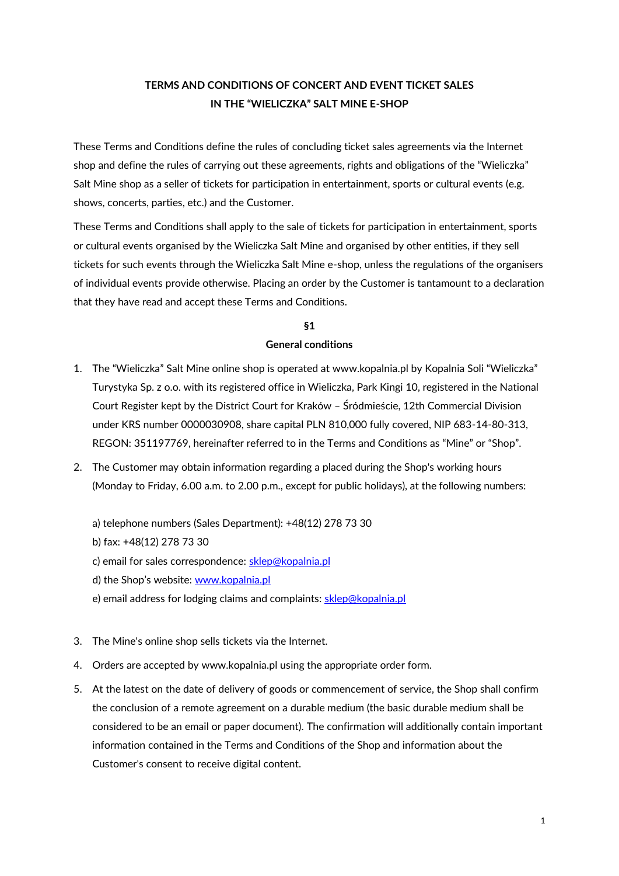# **TERMS AND CONDITIONS OF CONCERT AND EVENT TICKET SALES IN THE "WIELICZKA" SALT MINE E-SHOP**

These Terms and Conditions define the rules of concluding ticket sales agreements via the Internet shop and define the rules of carrying out these agreements, rights and obligations of the "Wieliczka" Salt Mine shop as a seller of tickets for participation in entertainment, sports or cultural events (e.g. shows, concerts, parties, etc.) and the Customer.

These Terms and Conditions shall apply to the sale of tickets for participation in entertainment, sports or cultural events organised by the Wieliczka Salt Mine and organised by other entities, if they sell tickets for such events through the Wieliczka Salt Mine e-shop, unless the regulations of the organisers of individual events provide otherwise. Placing an order by the Customer is tantamount to a declaration that they have read and accept these Terms and Conditions.

# **§1**

# **General conditions**

- 1. The "Wieliczka" Salt Mine online shop is operated at www.kopalnia.pl by Kopalnia Soli "Wieliczka" Turystyka Sp. z o.o. with its registered office in Wieliczka, Park Kingi 10, registered in the National Court Register kept by the District Court for Kraków – Śródmieście, 12th Commercial Division under KRS number 0000030908, share capital PLN 810,000 fully covered, NIP 683-14-80-313, REGON: 351197769, hereinafter referred to in the Terms and Conditions as "Mine" or "Shop".
- 2. The Customer may obtain information regarding a placed during the Shop's working hours (Monday to Friday, 6.00 a.m. to 2.00 p.m., except for public holidays), at the following numbers:
	- a) telephone numbers (Sales Department): +48(12) 278 73 30 b) fax: +48(12) 278 73 30 c) email for sales correspondence: [sklep@kopalnia.pl](mailto:sklep@kopalnia.pl?preview) d) the Shop's website: [www.kopalnia.pl](http://www.kopalnia.pl/?preview) e) email address for lodging claims and complaints: [sklep@kopalnia.pl](mailto:sklep@kopalnia.pl?preview)
- 3. The Mine's online shop sells tickets via the Internet.
- 4. Orders are accepted by www.kopalnia.pl using the appropriate order form.
- 5. At the latest on the date of delivery of goods or commencement of service, the Shop shall confirm the conclusion of a remote agreement on a durable medium (the basic durable medium shall be considered to be an email or paper document). The confirmation will additionally contain important information contained in the Terms and Conditions of the Shop and information about the Customer's consent to receive digital content.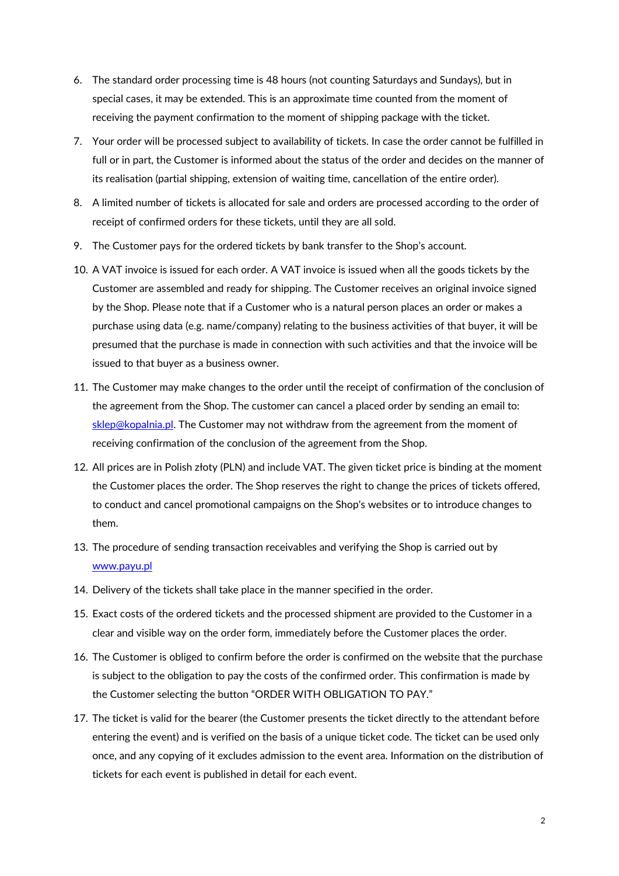- 6. The standard order processing time is 48 hours (not counting Saturdays and Sundays), but in special cases, it may be extended. This is an approximate time counted from the moment of receiving the payment confirmation to the moment of shipping package with the ticket.
- 7. Your order will be processed subject to availability of tickets. In case the order cannot be fulfilled in full or in part, the Customer is informed about the status of the order and decides on the manner of its realisation (partial shipping, extension of waiting time, cancellation of the entire order).
- 8. A limited number of tickets is allocated for sale and orders are processed according to the order of receipt of confirmed orders for these tickets, until they are all sold.
- 9. The Customer pays for the ordered tickets by bank transfer to the Shop's account.
- 10. A VAT invoice is issued for each order. A VAT invoice is issued when all the goods tickets by the Customer are assembled and ready for shipping. The Customer receives an original invoice signed by the Shop. Please note that if a Customer who is a natural person places an order or makes a purchase using data (e.g. name/company) relating to the business activities of that buyer, it will be presumed that the purchase is made in connection with such activities and that the invoice will be issued to that buyer as a business owner.
- 11. The Customer may make changes to the order until the receipt of confirmation of the conclusion of the agreement from the Shop. The customer can cancel a placed order by sending an email to: [sklep@kopalnia.pl.](mailto:sklep@kopalnia.pl?preview) The Customer may not withdraw from the agreement from the moment of receiving confirmation of the conclusion of the agreement from the Shop.
- 12. All prices are in Polish złoty (PLN) and include VAT. The given ticket price is binding at the moment the Customer places the order. The Shop reserves the right to change the prices of tickets offered, to conduct and cancel promotional campaigns on the Shop's websites or to introduce changes to them.
- 13. The procedure of sending transaction receivables and verifying the Shop is carried out by [www.payu.pl](http://www.payu.pl/)
- 14. Delivery of the tickets shall take place in the manner specified in the order.
- 15. Exact costs of the ordered tickets and the processed shipment are provided to the Customer in a clear and visible way on the order form, immediately before the Customer places the order.
- 16. The Customer is obliged to confirm before the order is confirmed on the website that the purchase is subject to the obligation to pay the costs of the confirmed order. This confirmation is made by the Customer selecting the button "ORDER WITH OBLIGATION TO PAY."
- 17. The ticket is valid for the bearer (the Customer presents the ticket directly to the attendant before entering the event) and is verified on the basis of a unique ticket code. The ticket can be used only once, and any copying of it excludes admission to the event area. Information on the distribution of tickets for each event is published in detail for each event.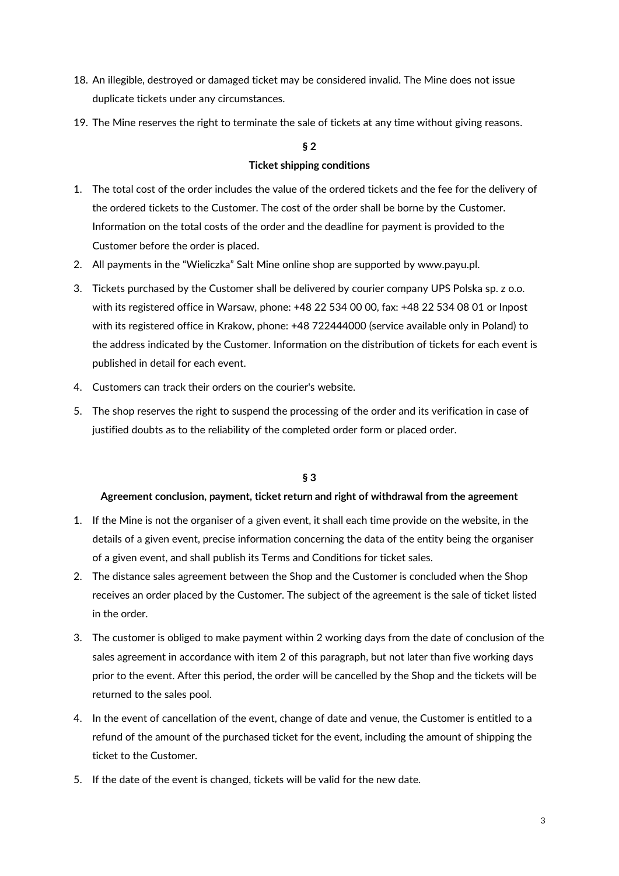- 18. An illegible, destroyed or damaged ticket may be considered invalid. The Mine does not issue duplicate tickets under any circumstances.
- 19. The Mine reserves the right to terminate the sale of tickets at any time without giving reasons.

## **§ 2**

## **Ticket shipping conditions**

- 1. The total cost of the order includes the value of the ordered tickets and the fee for the delivery of the ordered tickets to the Customer. The cost of the order shall be borne by the Customer. Information on the total costs of the order and the deadline for payment is provided to the Customer before the order is placed.
- 2. All payments in the "Wieliczka" Salt Mine online shop are supported by www.payu.pl.
- 3. Tickets purchased by the Customer shall be delivered by courier company UPS Polska sp. z o.o. with its registered office in Warsaw, phone: +48 22 534 00 00, fax: +48 22 534 08 01 or Inpost with its registered office in Krakow, phone: +48 722444000 (service available only in Poland) to the address indicated by the Customer. Information on the distribution of tickets for each event is published in detail for each event.
- 4. Customers can track their orders on the courier's website.
- 5. The shop reserves the right to suspend the processing of the order and its verification in case of justified doubts as to the reliability of the completed order form or placed order.

## **§ 3**

## **Agreement conclusion, payment, ticket return and right of withdrawal from the agreement**

- 1. If the Mine is not the organiser of a given event, it shall each time provide on the website, in the details of a given event, precise information concerning the data of the entity being the organiser of a given event, and shall publish its Terms and Conditions for ticket sales.
- 2. The distance sales agreement between the Shop and the Customer is concluded when the Shop receives an order placed by the Customer. The subject of the agreement is the sale of ticket listed in the order.
- 3. The customer is obliged to make payment within 2 working days from the date of conclusion of the sales agreement in accordance with item 2 of this paragraph, but not later than five working days prior to the event. After this period, the order will be cancelled by the Shop and the tickets will be returned to the sales pool.
- 4. In the event of cancellation of the event, change of date and venue, the Customer is entitled to a refund of the amount of the purchased ticket for the event, including the amount of shipping the ticket to the Customer.
- 5. If the date of the event is changed, tickets will be valid for the new date.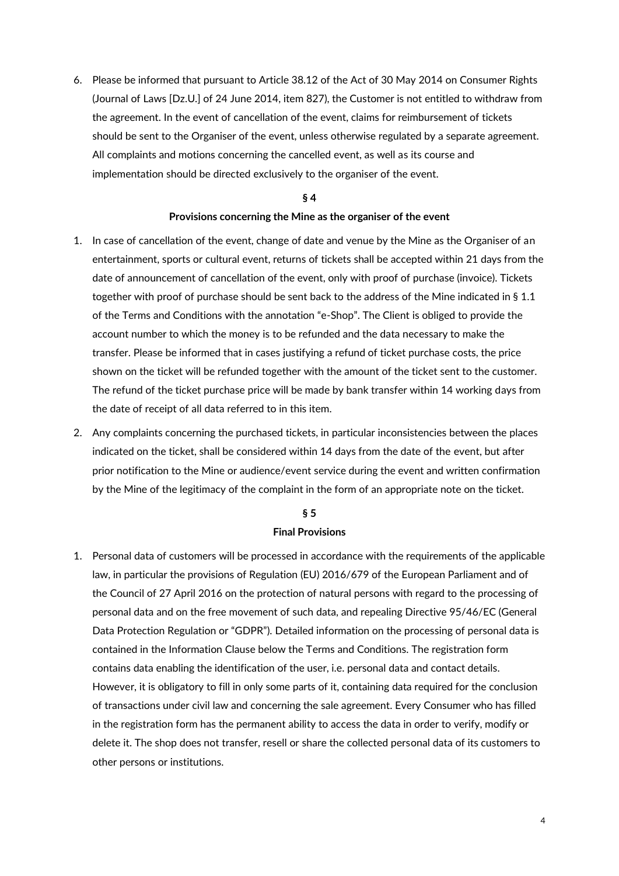6. Please be informed that pursuant to Article 38.12 of the Act of 30 May 2014 on Consumer Rights (Journal of Laws [Dz.U.] of 24 June 2014, item 827), the Customer is not entitled to withdraw from the agreement. In the event of cancellation of the event, claims for reimbursement of tickets should be sent to the Organiser of the event, unless otherwise regulated by a separate agreement. All complaints and motions concerning the cancelled event, as well as its course and implementation should be directed exclusively to the organiser of the event.

#### **§ 4**

#### **Provisions concerning the Mine as the organiser of the event**

- 1. In case of cancellation of the event, change of date and venue by the Mine as the Organiser of an entertainment, sports or cultural event, returns of tickets shall be accepted within 21 days from the date of announcement of cancellation of the event, only with proof of purchase (invoice). Tickets together with proof of purchase should be sent back to the address of the Mine indicated in § 1.1 of the Terms and Conditions with the annotation "e-Shop". The Client is obliged to provide the account number to which the money is to be refunded and the data necessary to make the transfer. Please be informed that in cases justifying a refund of ticket purchase costs, the price shown on the ticket will be refunded together with the amount of the ticket sent to the customer. The refund of the ticket purchase price will be made by bank transfer within 14 working days from the date of receipt of all data referred to in this item.
- 2. Any complaints concerning the purchased tickets, in particular inconsistencies between the places indicated on the ticket, shall be considered within 14 days from the date of the event, but after prior notification to the Mine or audience/event service during the event and written confirmation by the Mine of the legitimacy of the complaint in the form of an appropriate note on the ticket.

#### **§ 5**

#### **Final Provisions**

1. Personal data of customers will be processed in accordance with the requirements of the applicable law, in particular the provisions of Regulation (EU) 2016/679 of the European Parliament and of the Council of 27 April 2016 on the protection of natural persons with regard to the processing of personal data and on the free movement of such data, and repealing Directive 95/46/EC (General Data Protection Regulation or "GDPR"). Detailed information on the processing of personal data is contained in the Information Clause below the Terms and Conditions. The registration form contains data enabling the identification of the user, i.e. personal data and contact details. However, it is obligatory to fill in only some parts of it, containing data required for the conclusion of transactions under civil law and concerning the sale agreement. Every Consumer who has filled in the registration form has the permanent ability to access the data in order to verify, modify or delete it. The shop does not transfer, resell or share the collected personal data of its customers to other persons or institutions.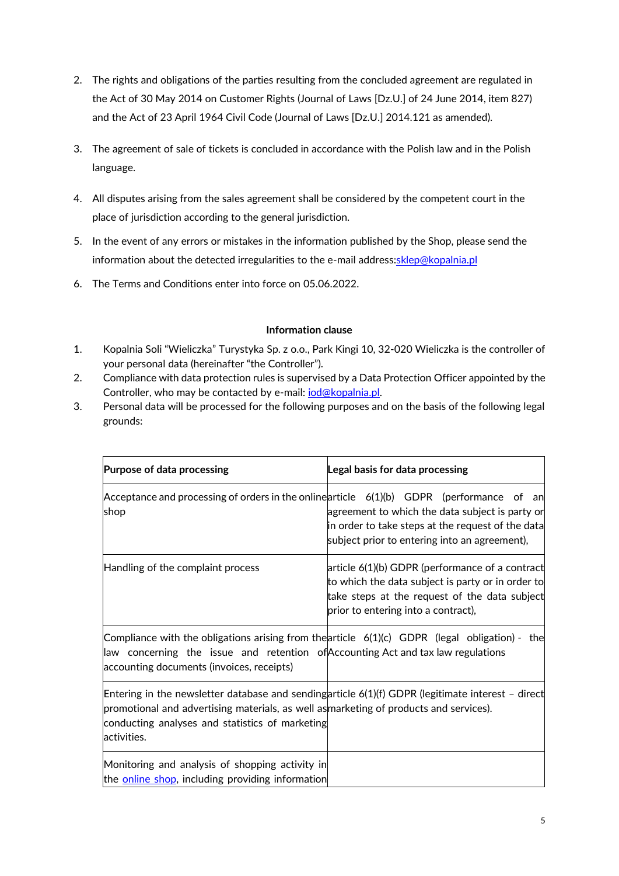- 2. The rights and obligations of the parties resulting from the concluded agreement are regulated in the Act of 30 May 2014 on Customer Rights (Journal of Laws [Dz.U.] of 24 June 2014, item 827) and the Act of 23 April 1964 Civil Code (Journal of Laws [Dz.U.] 2014.121 as amended).
- 3. The agreement of sale of tickets is concluded in accordance with the Polish law and in the Polish language.
- 4. All disputes arising from the sales agreement shall be considered by the competent court in the place of jurisdiction according to the general jurisdiction.
- 5. In the event of any errors or mistakes in the information published by the Shop, please send the information about the detected irregularities to the e-mail address: sklep@kopalnia.pl
- 6. The Terms and Conditions enter into force on 05.06.2022.

# **Information clause**

- 1. Kopalnia Soli "Wieliczka" Turystyka Sp. z o.o., Park Kingi 10, 32-020 Wieliczka is the controller of your personal data (hereinafter "the Controller").
- 2. Compliance with data protection rules is supervised by a Data Protection Officer appointed by the Controller, who may be contacted by e-mail: *iod@kopalnia.pl.*
- 3. Personal data will be processed for the following purposes and on the basis of the following legal grounds:

| Purpose of data processing                                                                                                                                                                                                                                    | Legal basis for data processing                                                                                                                                                                       |
|---------------------------------------------------------------------------------------------------------------------------------------------------------------------------------------------------------------------------------------------------------------|-------------------------------------------------------------------------------------------------------------------------------------------------------------------------------------------------------|
| Acceptance and processing of orders in the onlinearticle $6(1)(b)$ GDPR (performance of an<br>shop                                                                                                                                                            | agreement to which the data subject is party or<br>in order to take steps at the request of the data<br>subject prior to entering into an agreement),                                                 |
| Handling of the complaint process                                                                                                                                                                                                                             | $\alpha$ article 6(1)(b) GDPR (performance of a contract<br>to which the data subject is party or in order to<br>take steps at the request of the data subject<br>prior to entering into a contract), |
| Compliance with the obligations arising from the article $6(1)(c)$ GDPR (legal obligation) - the<br>law concerning the issue and retention of Accounting Actandtax law regulations<br>accounting documents (invoices, receipts)                               |                                                                                                                                                                                                       |
| Entering in the newsletter database and sendingarticle 6(1)(f) GDPR (legitimate interest - direct<br>promotional and advertising materials, as well as marketing of products and services).<br>conducting analyses and statistics of marketing<br>activities. |                                                                                                                                                                                                       |
| Monitoring and analysis of shopping activity in<br>the <b>online shop</b> , including providing information                                                                                                                                                   |                                                                                                                                                                                                       |